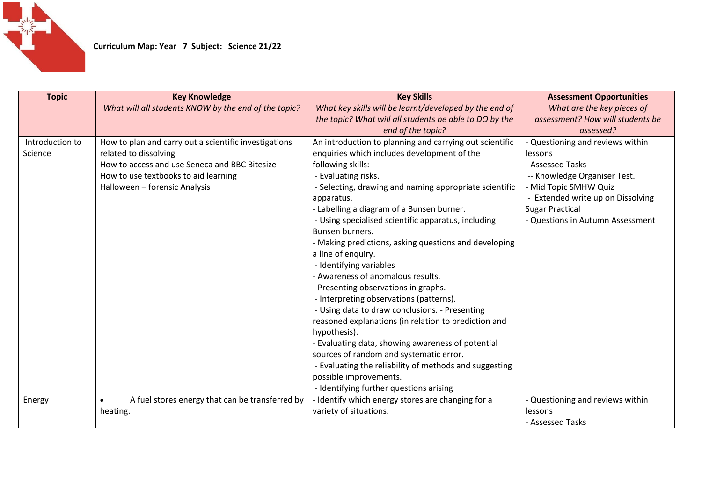

| <b>Topic</b>    | <b>Key Knowledge</b>                                         | <b>Key Skills</b>                                       | <b>Assessment Opportunities</b>   |
|-----------------|--------------------------------------------------------------|---------------------------------------------------------|-----------------------------------|
|                 | What will all students KNOW by the end of the topic?         | What key skills will be learnt/developed by the end of  | What are the key pieces of        |
|                 |                                                              | the topic? What will all students be able to DO by the  | assessment? How will students be  |
|                 |                                                              | end of the topic?                                       | assessed?                         |
| Introduction to | How to plan and carry out a scientific investigations        | An introduction to planning and carrying out scientific | - Questioning and reviews within  |
| Science         | related to dissolving                                        | enquiries which includes development of the             | lessons                           |
|                 | How to access and use Seneca and BBC Bitesize                | following skills:                                       | - Assessed Tasks                  |
|                 | How to use textbooks to aid learning                         | - Evaluating risks.                                     | -- Knowledge Organiser Test.      |
|                 | Halloween - forensic Analysis                                | - Selecting, drawing and naming appropriate scientific  | - Mid Topic SMHW Quiz             |
|                 |                                                              | apparatus.                                              | - Extended write up on Dissolving |
|                 |                                                              | - Labelling a diagram of a Bunsen burner.               | <b>Sugar Practical</b>            |
|                 |                                                              | - Using specialised scientific apparatus, including     | - Questions in Autumn Assessment  |
|                 |                                                              | Bunsen burners.                                         |                                   |
|                 |                                                              | - Making predictions, asking questions and developing   |                                   |
|                 |                                                              | a line of enquiry.                                      |                                   |
|                 |                                                              | - Identifying variables                                 |                                   |
|                 |                                                              | - Awareness of anomalous results.                       |                                   |
|                 |                                                              | - Presenting observations in graphs.                    |                                   |
|                 |                                                              | - Interpreting observations (patterns).                 |                                   |
|                 |                                                              | - Using data to draw conclusions. - Presenting          |                                   |
|                 |                                                              | reasoned explanations (in relation to prediction and    |                                   |
|                 |                                                              | hypothesis).                                            |                                   |
|                 |                                                              | - Evaluating data, showing awareness of potential       |                                   |
|                 |                                                              | sources of random and systematic error.                 |                                   |
|                 |                                                              | - Evaluating the reliability of methods and suggesting  |                                   |
|                 |                                                              | possible improvements.                                  |                                   |
|                 |                                                              | - Identifying further questions arising                 |                                   |
| Energy          | A fuel stores energy that can be transferred by<br>$\bullet$ | - Identify which energy stores are changing for a       | - Questioning and reviews within  |
|                 | heating.                                                     | variety of situations.                                  | lessons                           |
|                 |                                                              |                                                         | - Assessed Tasks                  |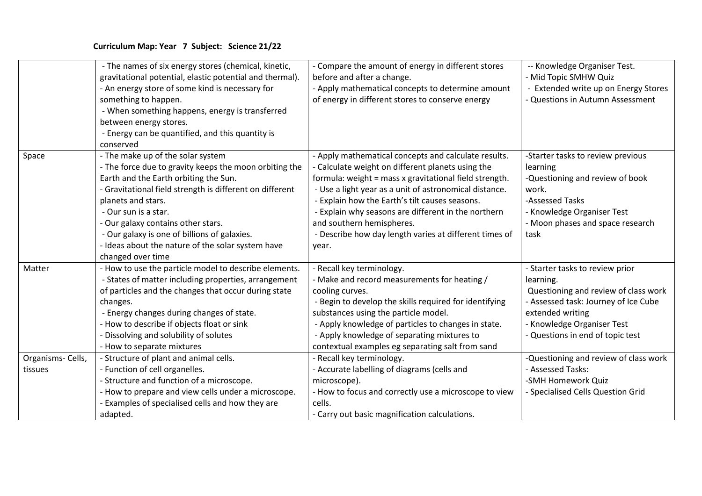|                              | - The names of six energy stores (chemical, kinetic,<br>gravitational potential, elastic potential and thermal).<br>- An energy store of some kind is necessary for<br>something to happen.<br>- When something happens, energy is transferred<br>between energy stores.<br>- Energy can be quantified, and this quantity is<br>conserved                                                                      | - Compare the amount of energy in different stores<br>before and after a change.<br>- Apply mathematical concepts to determine amount<br>of energy in different stores to conserve energy                                                                                                                                                                                                                                              | -- Knowledge Organiser Test.<br>- Mid Topic SMHW Quiz<br>Extended write up on Energy Stores<br>- Questions in Autumn Assessment                                                                                    |
|------------------------------|----------------------------------------------------------------------------------------------------------------------------------------------------------------------------------------------------------------------------------------------------------------------------------------------------------------------------------------------------------------------------------------------------------------|----------------------------------------------------------------------------------------------------------------------------------------------------------------------------------------------------------------------------------------------------------------------------------------------------------------------------------------------------------------------------------------------------------------------------------------|--------------------------------------------------------------------------------------------------------------------------------------------------------------------------------------------------------------------|
| Space                        | - The make up of the solar system<br>- The force due to gravity keeps the moon orbiting the<br>Earth and the Earth orbiting the Sun.<br>- Gravitational field strength is different on different<br>planets and stars.<br>- Our sun is a star.<br>- Our galaxy contains other stars.<br>- Our galaxy is one of billions of galaxies.<br>- Ideas about the nature of the solar system have<br>changed over time | - Apply mathematical concepts and calculate results.<br>- Calculate weight on different planets using the<br>formula: weight = mass x gravitational field strength.<br>- Use a light year as a unit of astronomical distance.<br>- Explain how the Earth's tilt causes seasons.<br>- Explain why seasons are different in the northern<br>and southern hemispheres.<br>- Describe how day length varies at different times of<br>year. | -Starter tasks to review previous<br>learning<br>-Questioning and review of book<br>work.<br>-Assessed Tasks<br>- Knowledge Organiser Test<br>- Moon phases and space research<br>task                             |
| Matter                       | - How to use the particle model to describe elements.<br>- States of matter including properties, arrangement<br>of particles and the changes that occur during state<br>changes.<br>- Energy changes during changes of state.<br>- How to describe if objects float or sink<br>- Dissolving and solubility of solutes<br>- How to separate mixtures                                                           | - Recall key terminology.<br>- Make and record measurements for heating /<br>cooling curves.<br>- Begin to develop the skills required for identifying<br>substances using the particle model.<br>- Apply knowledge of particles to changes in state.<br>- Apply knowledge of separating mixtures to<br>contextual examples eg separating salt from sand                                                                               | - Starter tasks to review prior<br>learning.<br>Questioning and review of class work<br>- Assessed task: Journey of Ice Cube<br>extended writing<br>- Knowledge Organiser Test<br>- Questions in end of topic test |
| Organisms- Cells,<br>tissues | - Structure of plant and animal cells.<br>- Function of cell organelles.<br>- Structure and function of a microscope.<br>- How to prepare and view cells under a microscope.<br>- Examples of specialised cells and how they are<br>adapted.                                                                                                                                                                   | - Recall key terminology.<br>- Accurate labelling of diagrams (cells and<br>microscope).<br>- How to focus and correctly use a microscope to view<br>cells.<br>- Carry out basic magnification calculations.                                                                                                                                                                                                                           | -Questioning and review of class work<br>- Assessed Tasks:<br>-SMH Homework Quiz<br>- Specialised Cells Question Grid                                                                                              |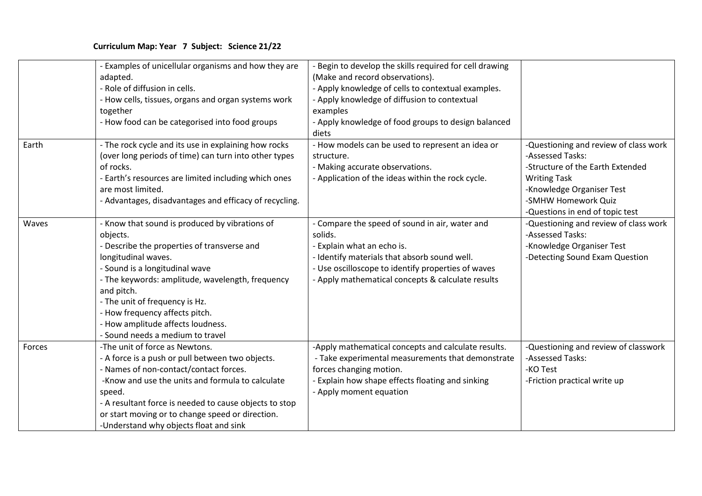|        | - Examples of unicellular organisms and how they are<br>adapted.<br>- Role of diffusion in cells.<br>- How cells, tissues, organs and organ systems work<br>together<br>- How food can be categorised into food groups                                                                                                                                                            | - Begin to develop the skills required for cell drawing<br>(Make and record observations).<br>- Apply knowledge of cells to contextual examples.<br>- Apply knowledge of diffusion to contextual<br>examples<br>- Apply knowledge of food groups to design balanced<br>diets |                                                                                                                                                                                                             |
|--------|-----------------------------------------------------------------------------------------------------------------------------------------------------------------------------------------------------------------------------------------------------------------------------------------------------------------------------------------------------------------------------------|------------------------------------------------------------------------------------------------------------------------------------------------------------------------------------------------------------------------------------------------------------------------------|-------------------------------------------------------------------------------------------------------------------------------------------------------------------------------------------------------------|
| Earth  | - The rock cycle and its use in explaining how rocks<br>(over long periods of time) can turn into other types<br>of rocks.<br>- Earth's resources are limited including which ones<br>are most limited.<br>- Advantages, disadvantages and efficacy of recycling.                                                                                                                 | - How models can be used to represent an idea or<br>structure.<br>- Making accurate observations.<br>- Application of the ideas within the rock cycle.                                                                                                                       | -Questioning and review of class work<br>-Assessed Tasks:<br>-Structure of the Earth Extended<br><b>Writing Task</b><br>-Knowledge Organiser Test<br>-SMHW Homework Quiz<br>-Questions in end of topic test |
| Waves  | - Know that sound is produced by vibrations of<br>objects.<br>- Describe the properties of transverse and<br>longitudinal waves.<br>- Sound is a longitudinal wave<br>- The keywords: amplitude, wavelength, frequency<br>and pitch.<br>- The unit of frequency is Hz.<br>- How frequency affects pitch.<br>- How amplitude affects loudness.<br>- Sound needs a medium to travel | - Compare the speed of sound in air, water and<br>solids.<br>- Explain what an echo is.<br>- Identify materials that absorb sound well.<br>- Use oscilloscope to identify properties of waves<br>- Apply mathematical concepts & calculate results                           | -Questioning and review of class work<br>-Assessed Tasks:<br>-Knowledge Organiser Test<br>-Detecting Sound Exam Question                                                                                    |
| Forces | -The unit of force as Newtons.<br>- A force is a push or pull between two objects.<br>- Names of non-contact/contact forces.<br>-Know and use the units and formula to calculate<br>speed.<br>- A resultant force is needed to cause objects to stop<br>or start moving or to change speed or direction.<br>-Understand why objects float and sink                                | -Apply mathematical concepts and calculate results.<br>- Take experimental measurements that demonstrate<br>forces changing motion.<br>Explain how shape effects floating and sinking<br>- Apply moment equation                                                             | -Questioning and review of classwork<br>-Assessed Tasks:<br>-KO Test<br>-Friction practical write up                                                                                                        |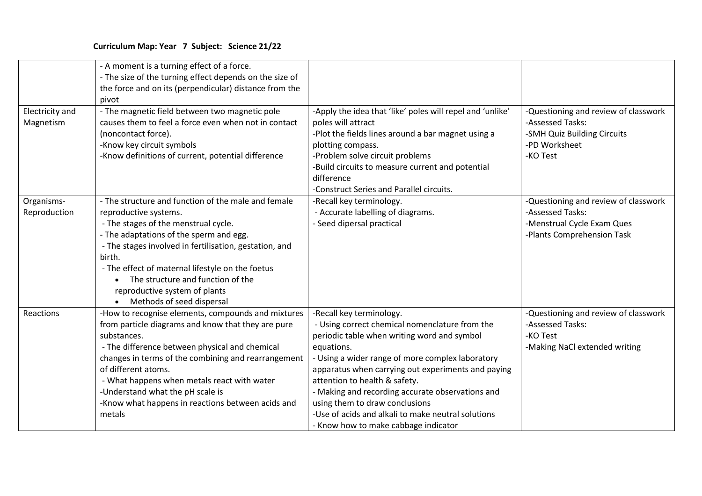|                              | - A moment is a turning effect of a force.<br>- The size of the turning effect depends on the size of<br>the force and on its (perpendicular) distance from the<br>pivot                                                                                                                                                                                                                                  |                                                                                                                                                                                                                                                                                                                                                                                                                                                                        |                                                                                                                      |
|------------------------------|-----------------------------------------------------------------------------------------------------------------------------------------------------------------------------------------------------------------------------------------------------------------------------------------------------------------------------------------------------------------------------------------------------------|------------------------------------------------------------------------------------------------------------------------------------------------------------------------------------------------------------------------------------------------------------------------------------------------------------------------------------------------------------------------------------------------------------------------------------------------------------------------|----------------------------------------------------------------------------------------------------------------------|
| Electricity and<br>Magnetism | - The magnetic field between two magnetic pole<br>causes them to feel a force even when not in contact<br>(noncontact force).<br>-Know key circuit symbols<br>-Know definitions of current, potential difference                                                                                                                                                                                          | -Apply the idea that 'like' poles will repel and 'unlike'<br>poles will attract<br>-Plot the fields lines around a bar magnet using a<br>plotting compass.<br>-Problem solve circuit problems<br>-Build circuits to measure current and potential<br>difference<br>-Construct Series and Parallel circuits.                                                                                                                                                            | -Questioning and review of classwork<br>-Assessed Tasks:<br>-SMH Quiz Building Circuits<br>-PD Worksheet<br>-KO Test |
| Organisms-<br>Reproduction   | - The structure and function of the male and female<br>reproductive systems.<br>- The stages of the menstrual cycle.<br>- The adaptations of the sperm and egg.<br>- The stages involved in fertilisation, gestation, and<br>birth.<br>- The effect of maternal lifestyle on the foetus<br>The structure and function of the<br>reproductive system of plants<br>Methods of seed dispersal                | -Recall key terminology.<br>- Accurate labelling of diagrams.<br>- Seed dipersal practical                                                                                                                                                                                                                                                                                                                                                                             | -Questioning and review of classwork<br>-Assessed Tasks:<br>-Menstrual Cycle Exam Ques<br>-Plants Comprehension Task |
| Reactions                    | -How to recognise elements, compounds and mixtures<br>from particle diagrams and know that they are pure<br>substances.<br>- The difference between physical and chemical<br>changes in terms of the combining and rearrangement<br>of different atoms.<br>- What happens when metals react with water<br>-Understand what the pH scale is<br>-Know what happens in reactions between acids and<br>metals | -Recall key terminology.<br>- Using correct chemical nomenclature from the<br>periodic table when writing word and symbol<br>equations.<br>- Using a wider range of more complex laboratory<br>apparatus when carrying out experiments and paying<br>attention to health & safety.<br>- Making and recording accurate observations and<br>using them to draw conclusions<br>-Use of acids and alkali to make neutral solutions<br>- Know how to make cabbage indicator | -Questioning and review of classwork<br>-Assessed Tasks:<br>-KO Test<br>-Making NaCl extended writing                |